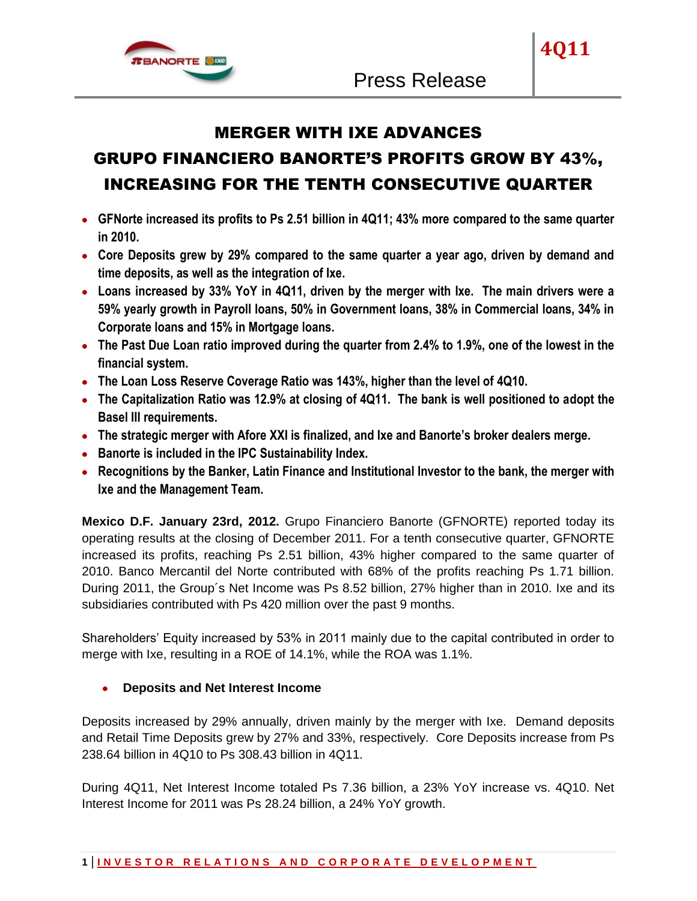

**4Q11**

# MERGER WITH IXE ADVANCES

# GRUPO FINANCIERO BANORTE'S PROFITS GROW BY 43%, INCREASING FOR THE TENTH CONSECUTIVE QUARTER

- **GFNorte increased its profits to Ps 2.51 billion in 4Q11; 43% more compared to the same quarter in 2010.**
- **Core Deposits grew by 29% compared to the same quarter a year ago, driven by demand and time deposits, as well as the integration of Ixe.**
- **Loans increased by 33% YoY in 4Q11, driven by the merger with Ixe. The main drivers were a 59% yearly growth in Payroll loans, 50% in Government loans, 38% in Commercial loans, 34% in Corporate loans and 15% in Mortgage loans.**
- **The Past Due Loan ratio improved during the quarter from 2.4% to 1.9%, one of the lowest in the financial system.**
- **The Loan Loss Reserve Coverage Ratio was 143%, higher than the level of 4Q10.**
- **The Capitalization Ratio was 12.9% at closing of 4Q11. The bank is well positioned to adopt the Basel III requirements.**
- **The strategic merger with Afore XXI is finalized, and Ixe and Banorte's broker dealers merge.**
- **Banorte is included in the IPC Sustainability Index.**
- **Recognitions by the Banker, Latin Finance and Institutional Investor to the bank, the merger with Ixe and the Management Team.**

**Mexico D.F. January 23rd, 2012.** Grupo Financiero Banorte (GFNORTE) reported today its operating results at the closing of December 2011. For a tenth consecutive quarter, GFNORTE increased its profits, reaching Ps 2.51 billion, 43% higher compared to the same quarter of 2010. Banco Mercantil del Norte contributed with 68% of the profits reaching Ps 1.71 billion. During 2011, the Group´s Net Income was Ps 8.52 billion, 27% higher than in 2010. Ixe and its subsidiaries contributed with Ps 420 million over the past 9 months.

Shareholders' Equity increased by 53% in 2011 mainly due to the capital contributed in order to merge with Ixe, resulting in a ROE of 14.1%, while the ROA was 1.1%.

# **Deposits and Net Interest Income**

Deposits increased by 29% annually, driven mainly by the merger with Ixe. Demand deposits and Retail Time Deposits grew by 27% and 33%, respectively. Core Deposits increase from Ps 238.64 billion in 4Q10 to Ps 308.43 billion in 4Q11.

During 4Q11, Net Interest Income totaled Ps 7.36 billion, a 23% YoY increase vs. 4Q10. Net Interest Income for 2011 was Ps 28.24 billion, a 24% YoY growth.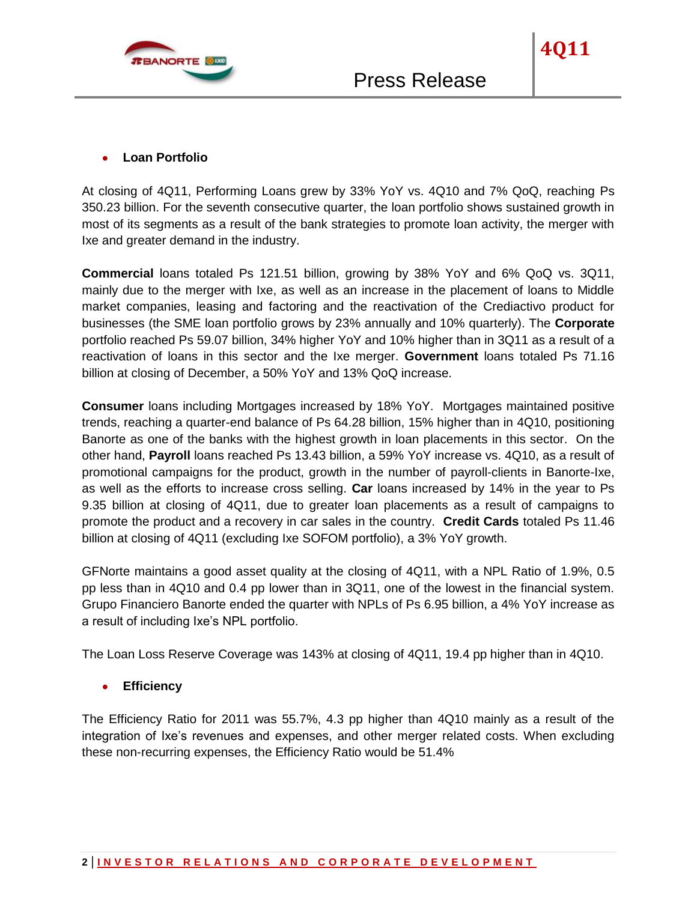

**4Q11**

At closing of 4Q11, Performing Loans grew by 33% YoY vs. 4Q10 and 7% QoQ, reaching Ps 350.23 billion. For the seventh consecutive quarter, the loan portfolio shows sustained growth in most of its segments as a result of the bank strategies to promote loan activity, the merger with Ixe and greater demand in the industry.

**Commercial** loans totaled Ps 121.51 billion, growing by 38% YoY and 6% QoQ vs. 3Q11, mainly due to the merger with Ixe, as well as an increase in the placement of loans to Middle market companies, leasing and factoring and the reactivation of the Crediactivo product for businesses (the SME loan portfolio grows by 23% annually and 10% quarterly). The **Corporate** portfolio reached Ps 59.07 billion, 34% higher YoY and 10% higher than in 3Q11 as a result of a reactivation of loans in this sector and the Ixe merger. **Government** loans totaled Ps 71.16 billion at closing of December, a 50% YoY and 13% QoQ increase.

**Consumer** loans including Mortgages increased by 18% YoY. Mortgages maintained positive trends, reaching a quarter-end balance of Ps 64.28 billion, 15% higher than in 4Q10, positioning Banorte as one of the banks with the highest growth in loan placements in this sector. On the other hand, **Payroll** loans reached Ps 13.43 billion, a 59% YoY increase vs. 4Q10, as a result of promotional campaigns for the product, growth in the number of payroll-clients in Banorte-Ixe, as well as the efforts to increase cross selling. **Car** loans increased by 14% in the year to Ps 9.35 billion at closing of 4Q11, due to greater loan placements as a result of campaigns to promote the product and a recovery in car sales in the country. **Credit Cards** totaled Ps 11.46 billion at closing of 4Q11 (excluding Ixe SOFOM portfolio), a 3% YoY growth.

GFNorte maintains a good asset quality at the closing of 4Q11, with a NPL Ratio of 1.9%, 0.5 pp less than in 4Q10 and 0.4 pp lower than in 3Q11, one of the lowest in the financial system. Grupo Financiero Banorte ended the quarter with NPLs of Ps 6.95 billion, a 4% YoY increase as a result of including Ixe's NPL portfolio.

The Loan Loss Reserve Coverage was 143% at closing of 4Q11, 19.4 pp higher than in 4Q10.

**Efficiency**

The Efficiency Ratio for 2011 was 55.7%, 4.3 pp higher than 4Q10 mainly as a result of the integration of Ixe's revenues and expenses, and other merger related costs. When excluding these non-recurring expenses, the Efficiency Ratio would be 51.4%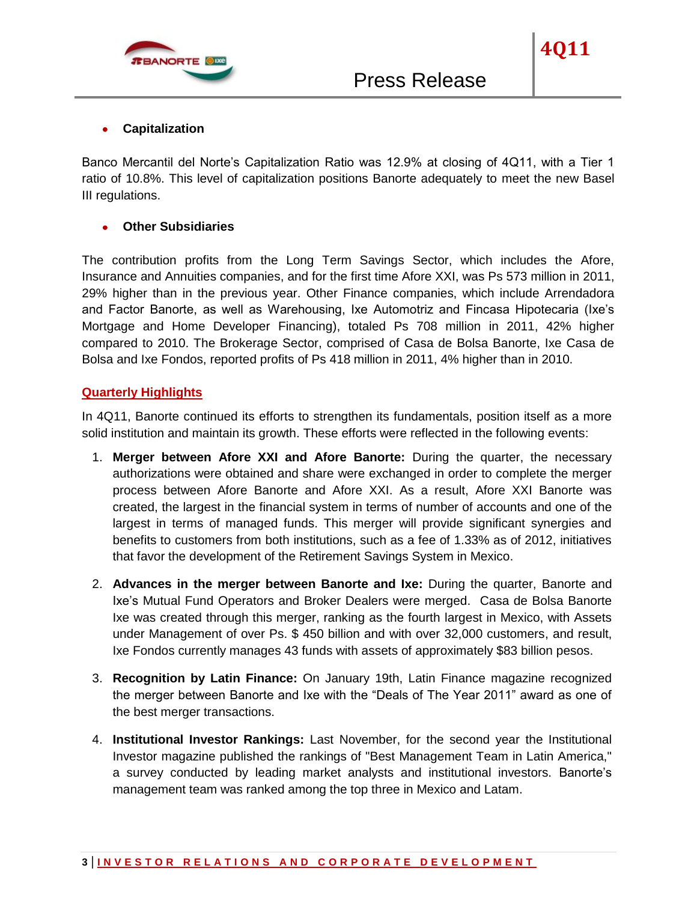

#### **Capitalization**

Banco Mercantil del Norte's Capitalization Ratio was 12.9% at closing of 4Q11, with a Tier 1 ratio of 10.8%. This level of capitalization positions Banorte adequately to meet the new Basel III regulations.

## **Other Subsidiaries**

The contribution profits from the Long Term Savings Sector, which includes the Afore, Insurance and Annuities companies, and for the first time Afore XXI, was Ps 573 million in 2011, 29% higher than in the previous year. Other Finance companies, which include Arrendadora and Factor Banorte, as well as Warehousing, Ixe Automotriz and Fincasa Hipotecaria (Ixe's Mortgage and Home Developer Financing), totaled Ps 708 million in 2011, 42% higher compared to 2010. The Brokerage Sector, comprised of Casa de Bolsa Banorte, Ixe Casa de Bolsa and Ixe Fondos, reported profits of Ps 418 million in 2011, 4% higher than in 2010.

## **Quarterly Highlights**

In 4Q11, Banorte continued its efforts to strengthen its fundamentals, position itself as a more solid institution and maintain its growth. These efforts were reflected in the following events:

- 1. **Merger between Afore XXI and Afore Banorte:** During the quarter, the necessary authorizations were obtained and share were exchanged in order to complete the merger process between Afore Banorte and Afore XXI. As a result, Afore XXI Banorte was created, the largest in the financial system in terms of number of accounts and one of the largest in terms of managed funds. This merger will provide significant synergies and benefits to customers from both institutions, such as a fee of 1.33% as of 2012, initiatives that favor the development of the Retirement Savings System in Mexico.
- 2. **Advances in the merger between Banorte and Ixe:** During the quarter, Banorte and Ixe's Mutual Fund Operators and Broker Dealers were merged. Casa de Bolsa Banorte Ixe was created through this merger, ranking as the fourth largest in Mexico, with Assets under Management of over Ps. \$ 450 billion and with over 32,000 customers, and result, Ixe Fondos currently manages 43 funds with assets of approximately \$83 billion pesos.
- 3. **Recognition by Latin Finance:** On January 19th, Latin Finance magazine recognized the merger between Banorte and Ixe with the "Deals of The Year 2011" award as one of the best merger transactions.
- 4. **Institutional Investor Rankings:** Last November, for the second year the Institutional Investor magazine published the rankings of "Best Management Team in Latin America," a survey conducted by leading market analysts and institutional investors. Banorte's management team was ranked among the top three in Mexico and Latam.